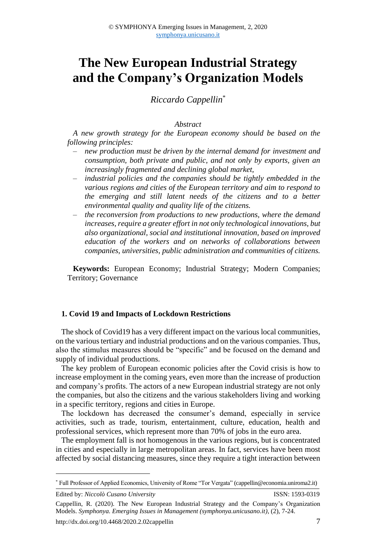# **The New European Industrial Strategy and the Company's Organization Models**

## *Riccardo Cappellin*\*

#### *Abstract*

*A new growth strategy for the European economy should be based on the following principles:*

- ‒ *new production must be driven by the internal demand for investment and consumption, both private and public, and not only by exports, given an increasingly fragmented and declining global market,*
- ‒ *industrial policies and the companies should be tightly embedded in the various regions and cities of the European territory and aim to respond to the emerging and still latent needs of the citizens and to a better environmental quality and quality life of the citizens.*
- ‒ *the reconversion from productions to new productions, where the demand increases, require a greater effort in not only technological innovations, but also organizational, social and institutional innovation, based on improved education of the workers and on networks of collaborations between companies, universities, public administration and communities of citizens.*

**Keywords:** European Economy; Industrial Strategy; Modern Companies; Territory; Governance

#### **1. Covid 19 and Impacts of Lockdown Restrictions**

The shock of Covid19 has a very different impact on the various local communities, on the various tertiary and industrial productions and on the various companies. Thus, also the stimulus measures should be "specific" and be focused on the demand and supply of individual productions.

The key problem of European economic policies after the Covid crisis is how to increase employment in the coming years, even more than the increase of production and company's profits. The actors of a new European industrial strategy are not only the companies, but also the citizens and the various stakeholders living and working in a specific territory, regions and cities in Europe.

The lockdown has decreased the consumer's demand, especially in service activities, such as trade, tourism, entertainment, culture, education, health and professional services, which represent more than 70% of jobs in the euro area.

The employment fall is not homogenous in the various regions, but is concentrated in cities and especially in large metropolitan areas. In fact, services have been most affected by social distancing measures, since they require a tight interaction between

<sup>\*</sup> Full Professor of Applied Economics, University of Rome "Tor Vergata" (cappellin@economia.uniroma2.it)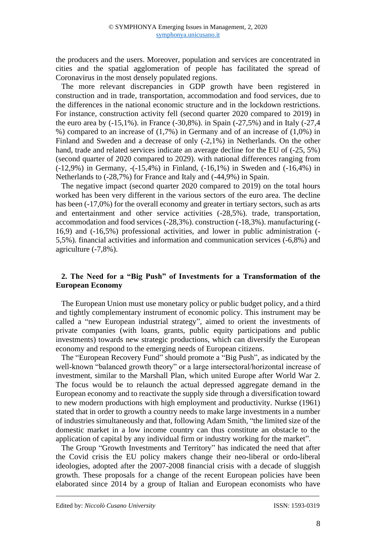the producers and the users. Moreover, population and services are concentrated in cities and the spatial agglomeration of people has facilitated the spread of Coronavirus in the most densely populated regions.

The more relevant discrepancies in GDP growth have been registered in construction and in trade, transportation, accommodation and food services, due to the differences in the national economic structure and in the lockdown restrictions. For instance, construction activity fell (second quarter 2020 compared to 2019) in the euro area by (-15,1%). in France (-30,8%). in Spain (-27,5%) and in Italy (-27,4 %) compared to an increase of (1,7%) in Germany and of an increase of (1,0%) in Finland and Sweden and a decrease of only (-2,1%) in Netherlands. On the other hand, trade and related services indicate an average decline for the EU of (-25, 5%) (second quarter of 2020 compared to 2029). with national differences ranging from (-12,9%) in Germany, -(-15,4%) in Finland, (-16,1%) in Sweden and (-16,4%) in Netherlands to (-28,7%) for France and Italy and (-44,9%) in Spain.

The negative impact (second quarter 2020 compared to 2019) on the total hours worked has been very different in the various sectors of the euro area. The decline has been (-17,0%) for the overall economy and greater in tertiary sectors, such as arts and entertainment and other service activities (-28,5%). trade, transportation, accommodation and food services (-28,3%). construction (-18,3%). manufacturing (- 16,9) and (-16,5%) professional activities, and lower in public administration (- 5,5%). financial activities and information and communication services (-6,8%) and agriculture (-7,8%).

## **2. The Need for a "Big Push" of Investments for a Transformation of the European Economy**

The European Union must use monetary policy or public budget policy, and a third and tightly complementary instrument of economic policy. This instrument may be called a "new European industrial strategy", aimed to orient the investments of private companies (with loans, grants, public equity participations and public investments) towards new strategic productions, which can diversify the European economy and respond to the emerging needs of European citizens.

The "European Recovery Fund" should promote a "Big Push", as indicated by the well-known "balanced growth theory" or a large intersectoral/horizontal increase of investment, similar to the Marshall Plan, which united Europe after World War 2. The focus would be to relaunch the actual depressed aggregate demand in the European economy and to reactivate the supply side through a diversification toward to new modern productions with high employment and productivity. Nurkse (1961) stated that in order to growth a country needs to make large investments in a number of industries simultaneously and that, following Adam Smith, "the limited size of the domestic market in a low income country can thus constitute an obstacle to the application of capital by any individual firm or industry working for the market".

The Group "Growth Investments and Territory" has indicated the need that after the Covid crisis the EU policy makers change their neo-liberal or ordo-liberal ideologies, adopted after the 2007-2008 financial crisis with a decade of sluggish growth. These proposals for a change of the recent European policies have been elaborated since 2014 by a group of Italian and European economists who have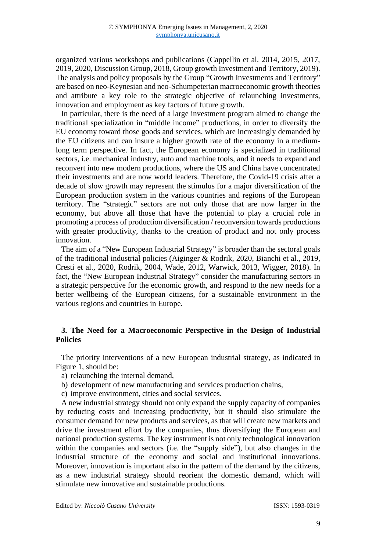organized various workshops and publications (Cappellin et al. 2014, 2015, 2017, 2019, 2020, Discussion Group, 2018, Group growth Investment and Territory, 2019). The analysis and policy proposals by the Group "Growth Investments and Territory" are based on neo-Keynesian and neo-Schumpeterian macroeconomic growth theories and attribute a key role to the strategic objective of relaunching investments, innovation and employment as key factors of future growth.

In particular, there is the need of a large investment program aimed to change the traditional specialization in "middle income" productions, in order to diversify the EU economy toward those goods and services, which are increasingly demanded by the EU citizens and can insure a higher growth rate of the economy in a mediumlong term perspective. In fact, the European economy is specialized in traditional sectors, i.e. mechanical industry, auto and machine tools, and it needs to expand and reconvert into new modern productions, where the US and China have concentrated their investments and are now world leaders. Therefore, the Covid-19 crisis after a decade of slow growth may represent the stimulus for a major diversification of the European production system in the various countries and regions of the European territory. The "strategic" sectors are not only those that are now larger in the economy, but above all those that have the potential to play a crucial role in promoting a process of production diversification / reconversion towards productions with greater productivity, thanks to the creation of product and not only process innovation.

The aim of a "New European Industrial Strategy" is broader than the sectoral goals of the traditional industrial policies (Aiginger & Rodrik, 2020, Bianchi et al., 2019, Cresti et al., 2020, Rodrik, 2004, Wade, 2012, Warwick, 2013, Wigger, 2018). In fact, the "New European Industrial Strategy" consider the manufacturing sectors in a strategic perspective for the economic growth, and respond to the new needs for a better wellbeing of the European citizens, for a sustainable environment in the various regions and countries in Europe.

### **3. The Need for a Macroeconomic Perspective in the Design of Industrial Policies**

The priority interventions of a new European industrial strategy, as indicated in Figure 1, should be:

- a) relaunching the internal demand,
- b) development of new manufacturing and services production chains,
- c) improve environment, cities and social services.

A new industrial strategy should not only expand the supply capacity of companies by reducing costs and increasing productivity, but it should also stimulate the consumer demand for new products and services, as that will create new markets and drive the investment effort by the companies, thus diversifying the European and national production systems. The key instrument is not only technological innovation within the companies and sectors (i.e. the "supply side"), but also changes in the industrial structure of the economy and social and institutional innovations. Moreover, innovation is important also in the pattern of the demand by the citizens, as a new industrial strategy should reorient the domestic demand, which will stimulate new innovative and sustainable productions.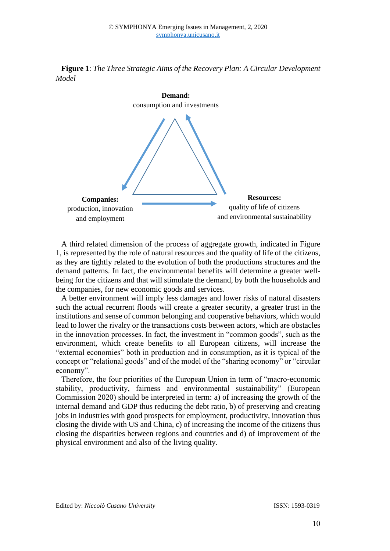



A third related dimension of the process of aggregate growth, indicated in Figure 1, is represented by the role of natural resources and the quality of life of the citizens, as they are tightly related to the evolution of both the productions structures and the demand patterns. In fact, the environmental benefits will determine a greater wellbeing for the citizens and that will stimulate the demand, by both the households and the companies, for new economic goods and services.

A better environment will imply less damages and lower risks of natural disasters such the actual recurrent floods will create a greater security, a greater trust in the institutions and sense of common belonging and cooperative behaviors, which would lead to lower the rivalry or the transactions costs between actors, which are obstacles in the innovation processes. In fact, the investment in "common goods", such as the environment, which create benefits to all European citizens, will increase the "external economies" both in production and in consumption, as it is typical of the concept or "relational goods" and of the model of the "sharing economy" or "circular economy".

Therefore, the four priorities of the European Union in term of "macro-economic stability, productivity, fairness and environmental sustainability" (European Commission 2020) should be interpreted in term: a) of increasing the growth of the internal demand and GDP thus reducing the debt ratio, b) of preserving and creating jobs in industries with good prospects for employment, productivity, innovation thus closing the divide with US and China, c) of increasing the income of the citizens thus closing the disparities between regions and countries and d) of improvement of the physical environment and also of the living quality.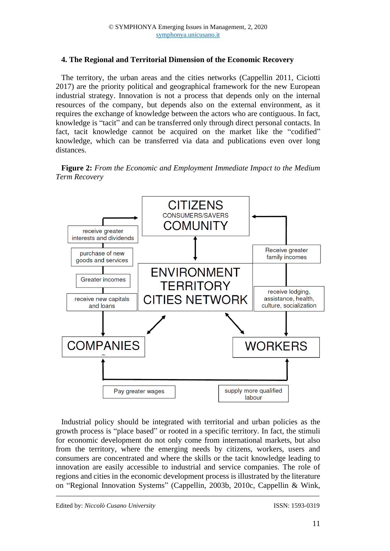## **4. The Regional and Territorial Dimension of the Economic Recovery**

The territory, the urban areas and the cities networks (Cappellin 2011, Ciciotti 2017) are the priority political and geographical framework for the new European industrial strategy. Innovation is not a process that depends only on the internal resources of the company, but depends also on the external environment, as it requires the exchange of knowledge between the actors who are contiguous. In fact, knowledge is "tacit" and can be transferred only through direct personal contacts. In fact, tacit knowledge cannot be acquired on the market like the "codified" knowledge, which can be transferred via data and publications even over long distances.

**Figure 2:** *From the Economic and Employment Immediate Impact to the Medium Term Recovery*



Industrial policy should be integrated with territorial and urban policies as the growth process is "place based" or rooted in a specific territory. In fact, the stimuli for economic development do not only come from international markets, but also from the territory, where the emerging needs by citizens, workers, users and consumers are concentrated and where the skills or the tacit knowledge leading to innovation are easily accessible to industrial and service companies. The role of regions and cities in the economic development process is illustrated by the literature on "Regional Innovation Systems" (Cappellin, 2003b, 2010c, Cappellin & Wink,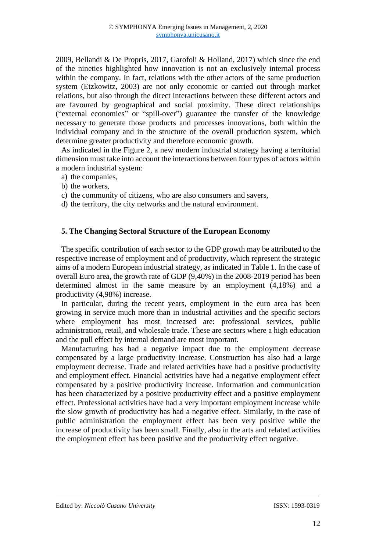2009, Bellandi & De Propris, 2017, Garofoli & Holland, 2017) which since the end of the nineties highlighted how innovation is not an exclusively internal process within the company. In fact, relations with the other actors of the same production system (Etzkowitz, 2003) are not only economic or carried out through market relations, but also through the direct interactions between these different actors and are favoured by geographical and social proximity. These direct relationships ("external economies" or "spill-over") guarantee the transfer of the knowledge necessary to generate those products and processes innovations, both within the individual company and in the structure of the overall production system, which determine greater productivity and therefore economic growth.

As indicated in the Figure 2, a new modern industrial strategy having a territorial dimension must take into account the interactions between four types of actors within a modern industrial system:

- a) the companies,
- b) the workers,
- c) the community of citizens, who are also consumers and savers,
- d) the territory, the city networks and the natural environment.

#### **5. The Changing Sectoral Structure of the European Economy**

The specific contribution of each sector to the GDP growth may be attributed to the respective increase of employment and of productivity, which represent the strategic aims of a modern European industrial strategy, as indicated in Table 1. In the case of overall Euro area, the growth rate of GDP (9,40%) in the 2008-2019 period has been determined almost in the same measure by an employment (4,18%) and a productivity (4,98%) increase.

In particular, during the recent years, employment in the euro area has been growing in service much more than in industrial activities and the specific sectors where employment has most increased are: professional services, public administration, retail, and wholesale trade. These are sectors where a high education and the pull effect by internal demand are most important.

Manufacturing has had a negative impact due to the employment decrease compensated by a large productivity increase. Construction has also had a large employment decrease. Trade and related activities have had a positive productivity and employment effect. Financial activities have had a negative employment effect compensated by a positive productivity increase. Information and communication has been characterized by a positive productivity effect and a positive employment effect. Professional activities have had a very important employment increase while the slow growth of productivity has had a negative effect. Similarly, in the case of public administration the employment effect has been very positive while the increase of productivity has been small. Finally, also in the arts and related activities the employment effect has been positive and the productivity effect negative.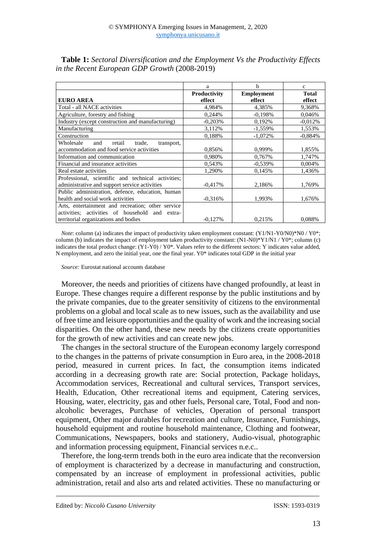|                                                    | a            | b                 | $\mathbf{C}$ |
|----------------------------------------------------|--------------|-------------------|--------------|
|                                                    | Productivity | <b>Employment</b> | <b>Total</b> |
| <b>EURO AREA</b>                                   | effect       | effect            | effect       |
| Total - all NACE activities                        | 4,984%       | 4,385%            | 9,368%       |
| Agriculture, forestry and fishing                  | 0,244%       | $-0.198%$         | 0,046%       |
| Industry (except construction and manufacturing)   | $-0,203%$    | 0,192%            | $-0.012%$    |
| Manufacturing                                      | 3,112%       | $-1,559%$         | 1,553%       |
| Construction                                       | 0.188%       | $-1.072%$         | $-0.884%$    |
| Wholesale<br>transport,<br>and<br>retail<br>trade, |              |                   |              |
| accommodation and food service activities          | 0,856%       | 0,999%            | 1,855%       |
| Information and communication                      | 0,980%       | 0,767%            | 1,747%       |
| Financial and insurance activities                 | 0,543%       | $-0.539%$         | 0,004%       |
| Real estate activities                             | 1,290%       | 0.145%            | 1,436%       |
| Professional, scientific and technical activities; |              |                   |              |
| administrative and support service activities      | $-0.417%$    | 2,186%            | 1,769%       |
| Public administration, defence, education, human   |              |                   |              |
| health and social work activities                  | $-0.316%$    | 1,993%            | 1,676%       |
| Arts, entertainment and recreation; other service  |              |                   |              |
| activities; activities of household and extra-     |              |                   |              |
| territorial organizations and bodies               | $-0.127%$    | 0,215%            | 0,088%       |

**Table 1:** *Sectoral Diversification and the Employment Vs the Productivity Effects in the Recent European GDP Growth* (2008-2019)

*Note*: column (a) indicates the impact of productivity taken employment constant: (Y1/N1-Y0/N0)\*N0 / Y0\*; column (b) indicates the impact of employment taken productivity constant: (N1-N0)\*Y1/N1 / Y0\*; column (c) indicates the total product change: (Y1-Y0) / Y0\*. Values refer to the different sectors: Y indicates value added, N employment, and zero the initial year, one the final year. Y0\* indicates total GDP in the initial year

*Source:* Eurostat national accounts database

Moreover, the needs and priorities of citizens have changed profoundly, at least in Europe. These changes require a different response by the public institutions and by the private companies, due to the greater sensitivity of citizens to the environmental problems on a global and local scale as to new issues, such as the availability and use of free time and leisure opportunities and the quality of work and the increasing social disparities. On the other hand, these new needs by the citizens create opportunities for the growth of new activities and can create new jobs.

The changes in the sectoral structure of the European economy largely correspond to the changes in the patterns of private consumption in Euro area, in the 2008-2018 period, measured in current prices. In fact, the consumption items indicated according in a decreasing growth rate are: Social protection, Package holidays, Accommodation services, Recreational and cultural services, Transport services, Health, Education, Other recreational items and equipment, Catering services, Housing, water, electricity, gas and other fuels, Personal care, Total, Food and nonalcoholic beverages, Purchase of vehicles, Operation of personal transport equipment, Other major durables for recreation and culture, Insurance, Furnishings, household equipment and routine household maintenance, Clothing and footwear, Communications, Newspapers, books and stationery, Audio-visual, photographic and information processing equipment, Financial services n.e.c..

Therefore, the long-term trends both in the euro area indicate that the reconversion of employment is characterized by a decrease in manufacturing and construction, compensated by an increase of employment in professional activities, public administration, retail and also arts and related activities. These no manufacturing or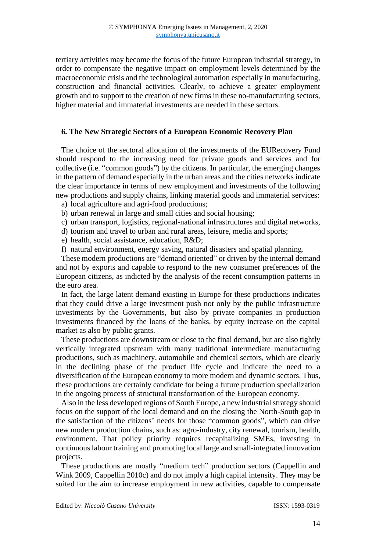tertiary activities may become the focus of the future European industrial strategy, in order to compensate the negative impact on employment levels determined by the macroeconomic crisis and the technological automation especially in manufacturing, construction and financial activities. Clearly, to achieve a greater employment growth and to support to the creation of new firms in these no-manufacturing sectors, higher material and immaterial investments are needed in these sectors.

#### **6. The New Strategic Sectors of a European Economic Recovery Plan**

The choice of the sectoral allocation of the investments of the EURecovery Fund should respond to the increasing need for private goods and services and for collective (i.e. "common goods") by the citizens. In particular, the emerging changes in the pattern of demand especially in the urban areas and the cities networks indicate the clear importance in terms of new employment and investments of the following new productions and supply chains, linking material goods and immaterial services:

- a) local agriculture and agri-food productions;
- b) urban renewal in large and small cities and social housing;
- c) urban transport, logistics, regional-national infrastructures and digital networks,
- d) tourism and travel to urban and rural areas, leisure, media and sports;
- e) health, social assistance, education, R&D;
- f) natural environment, energy saving, natural disasters and spatial planning.

These modern productions are "demand oriented" or driven by the internal demand and not by exports and capable to respond to the new consumer preferences of the European citizens, as indicted by the analysis of the recent consumption patterns in the euro area.

In fact, the large latent demand existing in Europe for these productions indicates that they could drive a large investment push not only by the public infrastructure investments by the Governments, but also by private companies in production investments financed by the loans of the banks, by equity increase on the capital market as also by public grants.

These productions are downstream or close to the final demand, but are also tightly vertically integrated upstream with many traditional intermediate manufacturing productions, such as machinery, automobile and chemical sectors, which are clearly in the declining phase of the product life cycle and indicate the need to a diversification of the European economy to more modern and dynamic sectors. Thus, these productions are certainly candidate for being a future production specialization in the ongoing process of structural transformation of the European economy.

Also in the less developed regions of South Europe, a new industrial strategy should focus on the support of the local demand and on the closing the North-South gap in the satisfaction of the citizens' needs for those "common goods", which can drive new modern production chains, such as: agro-industry, city renewal, tourism, health, environment. That policy priority requires recapitalizing SMEs, investing in continuous labour training and promoting local large and small-integrated innovation projects.

These productions are mostly "medium tech" production sectors (Cappellin and Wink 2009, Cappellin 2010c) and do not imply a high capital intensity. They may be suited for the aim to increase employment in new activities, capable to compensate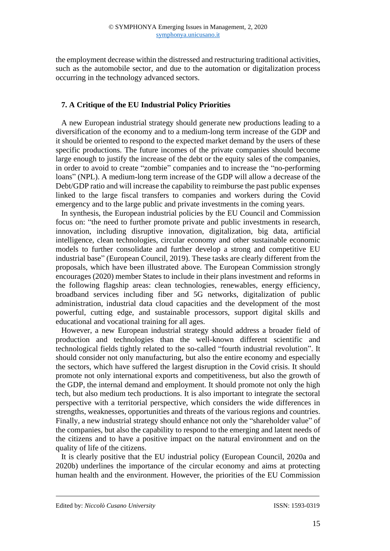the employment decrease within the distressed and restructuring traditional activities, such as the automobile sector, and due to the automation or digitalization process occurring in the technology advanced sectors.

## **7. A Critique of the EU Industrial Policy Priorities**

A new European industrial strategy should generate new productions leading to a diversification of the economy and to a medium-long term increase of the GDP and it should be oriented to respond to the expected market demand by the users of these specific productions. The future incomes of the private companies should become large enough to justify the increase of the debt or the equity sales of the companies, in order to avoid to create "zombie" companies and to increase the "no-performing loans" (NPL). A medium-long term increase of the GDP will allow a decrease of the Debt/GDP ratio and will increase the capability to reimburse the past public expenses linked to the large fiscal transfers to companies and workers during the Covid emergency and to the large public and private investments in the coming years.

In synthesis, the European industrial policies by the EU Council and Commission focus on: "the need to further promote private and public investments in research, innovation, including disruptive innovation, digitalization, big data, artificial intelligence, clean technologies, circular economy and other sustainable economic models to further consolidate and further develop a strong and competitive EU industrial base" (European Council, 2019). These tasks are clearly different from the proposals, which have been illustrated above. The European Commission strongly encourages (2020) member States to include in their plans investment and reforms in the following flagship areas: clean technologies, renewables, energy efficiency, broadband services including fiber and 5G networks, digitalization of public administration, industrial data cloud capacities and the development of the most powerful, cutting edge, and sustainable processors, support digital skills and educational and vocational training for all ages.

However, a new European industrial strategy should address a broader field of production and technologies than the well-known different scientific and technological fields tightly related to the so-called "fourth industrial revolution". It should consider not only manufacturing, but also the entire economy and especially the sectors, which have suffered the largest disruption in the Covid crisis. It should promote not only international exports and competitiveness, but also the growth of the GDP, the internal demand and employment. It should promote not only the high tech, but also medium tech productions. It is also important to integrate the sectoral perspective with a territorial perspective, which considers the wide differences in strengths, weaknesses, opportunities and threats of the various regions and countries. Finally, a new industrial strategy should enhance not only the "shareholder value" of the companies, but also the capability to respond to the emerging and latent needs of the citizens and to have a positive impact on the natural environment and on the quality of life of the citizens.

It is clearly positive that the EU industrial policy (European Council, 2020a and 2020b) underlines the importance of the circular economy and aims at protecting human health and the environment. However, the priorities of the EU Commission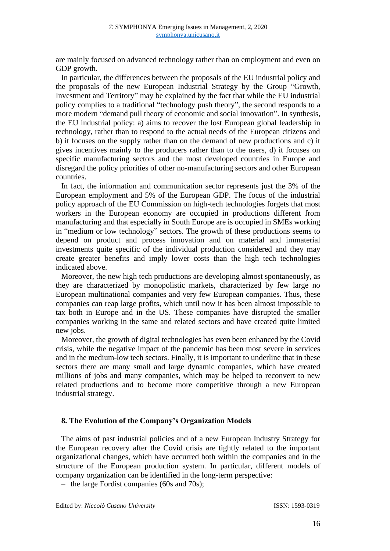are mainly focused on advanced technology rather than on employment and even on GDP growth.

In particular, the differences between the proposals of the EU industrial policy and the proposals of the new European Industrial Strategy by the Group "Growth, Investment and Territory" may be explained by the fact that while the EU industrial policy complies to a traditional "technology push theory", the second responds to a more modern "demand pull theory of economic and social innovation". In synthesis, the EU industrial policy: a) aims to recover the lost European global leadership in technology, rather than to respond to the actual needs of the European citizens and b) it focuses on the supply rather than on the demand of new productions and c) it gives incentives mainly to the producers rather than to the users, d) it focuses on specific manufacturing sectors and the most developed countries in Europe and disregard the policy priorities of other no-manufacturing sectors and other European countries.

In fact, the information and communication sector represents just the 3% of the European employment and 5% of the European GDP. The focus of the industrial policy approach of the EU Commission on high-tech technologies forgets that most workers in the European economy are occupied in productions different from manufacturing and that especially in South Europe are is occupied in SMEs working in "medium or low technology" sectors. The growth of these productions seems to depend on product and process innovation and on material and immaterial investments quite specific of the individual production considered and they may create greater benefits and imply lower costs than the high tech technologies indicated above.

Moreover, the new high tech productions are developing almost spontaneously, as they are characterized by monopolistic markets, characterized by few large no European multinational companies and very few European companies. Thus, these companies can reap large profits, which until now it has been almost impossible to tax both in Europe and in the US. These companies have disrupted the smaller companies working in the same and related sectors and have created quite limited new jobs.

Moreover, the growth of digital technologies has even been enhanced by the Covid crisis, while the negative impact of the pandemic has been most severe in services and in the medium-low tech sectors. Finally, it is important to underline that in these sectors there are many small and large dynamic companies, which have created millions of jobs and many companies, which may be helped to reconvert to new related productions and to become more competitive through a new European industrial strategy.

#### **8. The Evolution of the Company's Organization Models**

The aims of past industrial policies and of a new European Industry Strategy for the European recovery after the Covid crisis are tightly related to the important organizational changes, which have occurred both within the companies and in the structure of the European production system. In particular, different models of company organization can be identified in the long-term perspective:

‒ the large Fordist companies (60s and 70s);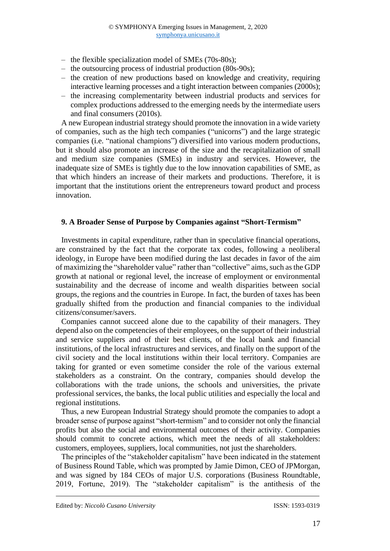- the flexible specialization model of SMEs (70s-80s);
- the outsourcing process of industrial production (80s-90s);
- ‒ the creation of new productions based on knowledge and creativity, requiring interactive learning processes and a tight interaction between companies (2000s);
- ‒ the increasing complementarity between industrial products and services for complex productions addressed to the emerging needs by the intermediate users and final consumers (2010s).

A new European industrial strategy should promote the innovation in a wide variety of companies, such as the high tech companies ("unicorns") and the large strategic companies (i.e. "national champions") diversified into various modern productions, but it should also promote an increase of the size and the recapitalization of small and medium size companies (SMEs) in industry and services. However, the inadequate size of SMEs is tightly due to the low innovation capabilities of SME, as that which hinders an increase of their markets and productions. Therefore, it is important that the institutions orient the entrepreneurs toward product and process innovation.

#### **9. A Broader Sense of Purpose by Companies against "Short-Termism"**

Investments in capital expenditure, rather than in speculative financial operations, are constrained by the fact that the corporate tax codes, following a neoliberal ideology, in Europe have been modified during the last decades in favor of the aim of maximizing the "shareholder value" rather than "collective" aims, such as the GDP growth at national or regional level, the increase of employment or environmental sustainability and the decrease of income and wealth disparities between social groups, the regions and the countries in Europe. In fact, the burden of taxes has been gradually shifted from the production and financial companies to the individual citizens/consumer/savers.

Companies cannot succeed alone due to the capability of their managers. They depend also on the competencies of their employees, on the support of their industrial and service suppliers and of their best clients, of the local bank and financial institutions, of the local infrastructures and services, and finally on the support of the civil society and the local institutions within their local territory. Companies are taking for granted or even sometime consider the role of the various external stakeholders as a constraint. On the contrary, companies should develop the collaborations with the trade unions, the schools and universities, the private professional services, the banks, the local public utilities and especially the local and regional institutions.

Thus, a new European Industrial Strategy should promote the companies to adopt a broader sense of purpose against "short-termism" and to consider not only the financial profits but also the social and environmental outcomes of their activity. Companies should commit to concrete actions, which meet the needs of all stakeholders: customers, employees, suppliers, local communities, not just the shareholders.

The principles of the "stakeholder capitalism" have been indicated in the statement of Business Round Table, which was prompted by Jamie Dimon, CEO of JPMorgan, and was signed by 184 CEOs of major U.S. corporations (Business Roundtable, 2019, Fortune, 2019). The "stakeholder capitalism" is the antithesis of the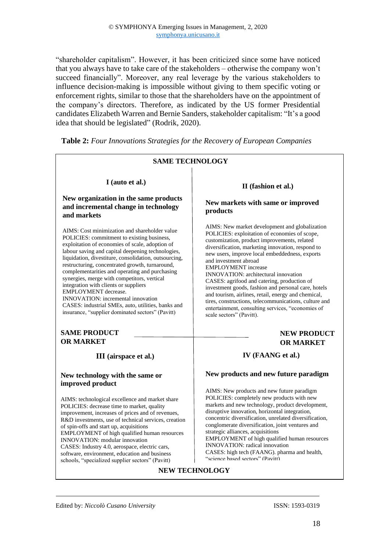"shareholder capitalism". However, it has been criticized since some have noticed that you always have to take care of the stakeholders – otherwise the company won't succeed financially". Moreover, any real leverage by the various stakeholders to influence decision-making is impossible without giving to them specific voting or enforcement rights, similar to those that the shareholders have on the appointment of the company's directors. Therefore, as indicated by the US former Presidential candidates Elizabeth Warren and Bernie Sanders, stakeholder capitalism: "It's a good idea that should be legislated" (Rodrik, 2020).



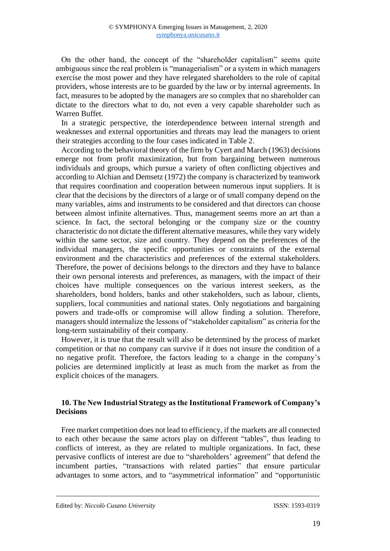On the other hand, the concept of the "shareholder capitalism" seems quite ambiguous since the real problem is "managerialism" or a system in which managers exercise the most power and they have relegated shareholders to the role of capital providers, whose interests are to be guarded by the law or by internal agreements. In fact, measures to be adopted by the managers are so complex that no shareholder can dictate to the directors what to do, not even a very capable shareholder such as Warren Buffet.

In a strategic perspective, the interdependence between internal strength and weaknesses and external opportunities and threats may lead the managers to orient their strategies according to the four cases indicated in Table 2.

According to the behavioral theory of the firm by Cyert and March (1963) decisions emerge not from profit maximization, but from bargaining between numerous individuals and groups, which pursue a variety of often conflicting objectives and according to Alchian and Demsetz (1972) the company is characterized by teamwork that requires coordination and cooperation between numerous input suppliers. It is clear that the decisions by the directors of a large or of small company depend on the many variables, aims and instruments to be considered and that directors can choose between almost infinite alternatives. Thus, management seems more an art than a science. In fact, the sectoral belonging or the company size or the country characteristic do not dictate the different alternative measures, while they vary widely within the same sector, size and country. They depend on the preferences of the individual managers, the specific opportunities or constraints of the external environment and the characteristics and preferences of the external stakeholders. Therefore, the power of decisions belongs to the directors and they have to balance their own personal interests and preferences, as managers, with the impact of their choices have multiple consequences on the various interest seekers, as the shareholders, bond holders, banks and other stakeholders, such as labour, clients, suppliers, local communities and national states. Only negotiations and bargaining powers and trade-offs or compromise will allow finding a solution. Therefore, managers should internalize the lessons of "stakeholder capitalism" as criteria for the long-term sustainability of their company.

However, it is true that the result will also be determined by the process of market competition or that no company can survive if it does not insure the condition of a no negative profit. Therefore, the factors leading to a change in the company's policies are determined implicitly at least as much from the market as from the explicit choices of the managers.

#### **10. The New Industrial Strategy as the Institutional Framework of Company's Decisions**

Free market competition does not lead to efficiency, if the markets are all connected to each other because the same actors play on different "tables", thus leading to conflicts of interest, as they are related to multiple organizations. In fact, these pervasive conflicts of interest are due to "shareholders' agreement" that defend the incumbent parties, "transactions with related parties" that ensure particular advantages to some actors, and to "asymmetrical information" and "opportunistic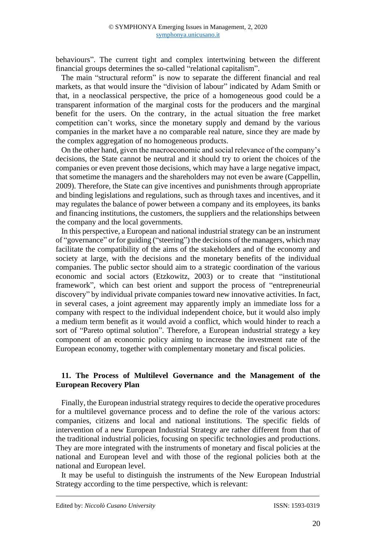behaviours". The current tight and complex intertwining between the different financial groups determines the so-called "relational capitalism".

The main "structural reform" is now to separate the different financial and real markets, as that would insure the "division of labour" indicated by Adam Smith or that, in a neoclassical perspective, the price of a homogeneous good could be a transparent information of the marginal costs for the producers and the marginal benefit for the users. On the contrary, in the actual situation the free market competition can't works, since the monetary supply and demand by the various companies in the market have a no comparable real nature, since they are made by the complex aggregation of no homogeneous products.

On the other hand, given the macroeconomic and social relevance of the company's decisions, the State cannot be neutral and it should try to orient the choices of the companies or even prevent those decisions, which may have a large negative impact, that sometime the managers and the shareholders may not even be aware (Cappellin, 2009). Therefore, the State can give incentives and punishments through appropriate and binding legislations and regulations, such as through taxes and incentives, and it may regulates the balance of power between a company and its employees, its banks and financing institutions, the customers, the suppliers and the relationships between the company and the local governments.

In this perspective, a European and national industrial strategy can be an instrument of "governance" or for guiding ("steering") the decisions of the managers, which may facilitate the compatibility of the aims of the stakeholders and of the economy and society at large, with the decisions and the monetary benefits of the individual companies. The public sector should aim to a strategic coordination of the various economic and social actors (Etzkowitz, 2003) or to create that "institutional framework", which can best orient and support the process of "entrepreneurial discovery" by individual private companies toward new innovative activities. In fact, in several cases, a joint agreement may apparently imply an immediate loss for a company with respect to the individual independent choice, but it would also imply a medium term benefit as it would avoid a conflict, which would hinder to reach a sort of "Pareto optimal solution". Therefore, a European industrial strategy a key component of an economic policy aiming to increase the investment rate of the European economy, together with complementary monetary and fiscal policies.

#### **11. The Process of Multilevel Governance and the Management of the European Recovery Plan**

Finally, the European industrial strategy requires to decide the operative procedures for a multilevel governance process and to define the role of the various actors: companies, citizens and local and national institutions. The specific fields of intervention of a new European Industrial Strategy are rather different from that of the traditional industrial policies, focusing on specific technologies and productions. They are more integrated with the instruments of monetary and fiscal policies at the national and European level and with those of the regional policies both at the national and European level.

It may be useful to distinguish the instruments of the New European Industrial Strategy according to the time perspective, which is relevant: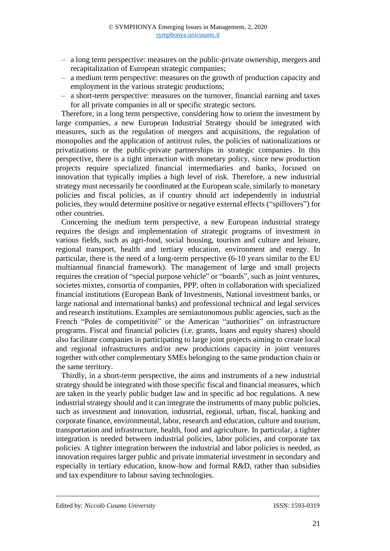- ‒ a long term perspective: measures on the public-private ownership, mergers and recapitalization of European strategic companies;
- ‒ a medium term perspective: measures on the growth of production capacity and employment in the various strategic productions;
- ‒ a short-term perspective: measures on the turnover, financial earning and taxes for all private companies in all or specific strategic sectors.

Therefore, in a long term perspective, considering how to orient the investment by large companies, a new European Industrial Strategy should be integrated with measures, such as the regulation of mergers and acquisitions, the regulation of monopolies and the application of antitrust rules, the policies of nationalizations or privatizations or the public-private partnerships in strategic companies. In this perspective, there is a tight interaction with monetary policy, since new production projects require specialized financial intermediaries and banks, focused on innovation that typically implies a high level of risk. Therefore, a new industrial strategy must necessarily be coordinated at the European scale, similarly to monetary policies and fiscal policies, as if country should act independently in industrial policies, they would determine positive or negative external effects ("spillovers") for other countries.

Concerning the medium term perspective, a new European industrial strategy requires the design and implementation of strategic programs of investment in various fields, such as agri-food, social housing, tourism and culture and leisure, regional transport, health and tertiary education, environment and energy. In particular, there is the need of a long-term perspective (6-10 years similar to the EU multiannual financial framework). The management of large and small projects requires the creation of "special purpose vehicle" or "boards", such as joint ventures, societes mixtes, consortia of companies, PPP, often in collaboration with specialized financial institutions (European Bank of Investments, National investment banks, or large national and international banks) and professional technical and legal services and research institutions. Examples are semiautonomous public agencies, such as the French "Poles de competitivité" or the American "authorities" on infrastructure programs. Fiscal and financial policies (i.e. grants, loans and equity shares) should also facilitate companies in participating to large joint projects aiming to create local and regional infrastructures and/or new productions capacity in joint ventures together with other complementary SMEs belonging to the same production chain or the same territory.

Thirdly, in a short-term perspective, the aims and instruments of a new industrial strategy should be integrated with those specific fiscal and financial measures, which are taken in the yearly public budget law and in specific ad hoc regulations. A new industrial strategy should and it can integrate the instruments of many public policies, such as investment and innovation, industrial, regional, urban, fiscal, banking and corporate finance, environmental, labor, research and education, culture and tourism, transportation and infrastructure, health, food and agriculture. In particular, a tighter integration is needed between industrial policies, labor policies, and corporate tax policies. A tighter integration between the industrial and labor policies is needed, as innovation requires larger public and private immaterial investment in secondary and especially in tertiary education, know-how and formal R&D, rather than subsidies and tax expenditure to labour saving technologies.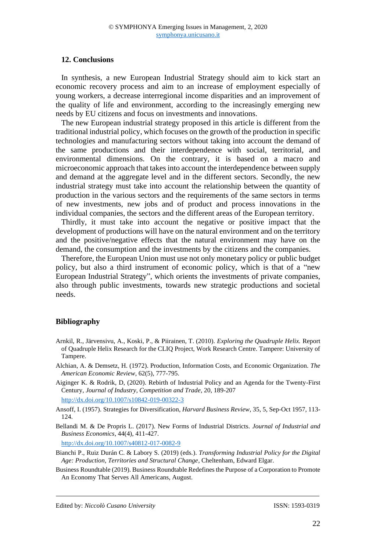#### **12. Conclusions**

In synthesis, a new European Industrial Strategy should aim to kick start an economic recovery process and aim to an increase of employment especially of young workers, a decrease interregional income disparities and an improvement of the quality of life and environment, according to the increasingly emerging new needs by EU citizens and focus on investments and innovations.

The new European industrial strategy proposed in this article is different from the traditional industrial policy, which focuses on the growth of the production in specific technologies and manufacturing sectors without taking into account the demand of the same productions and their interdependence with social, territorial, and environmental dimensions. On the contrary, it is based on a macro and microeconomic approach that takes into account the interdependence between supply and demand at the aggregate level and in the different sectors. Secondly, the new industrial strategy must take into account the relationship between the quantity of production in the various sectors and the requirements of the same sectors in terms of new investments, new jobs and of product and process innovations in the individual companies, the sectors and the different areas of the European territory.

Thirdly, it must take into account the negative or positive impact that the development of productions will have on the natural environment and on the territory and the positive/negative effects that the natural environment may have on the demand, the consumption and the investments by the citizens and the companies.

Therefore, the European Union must use not only monetary policy or public budget policy, but also a third instrument of economic policy, which is that of a "new European Industrial Strategy", which orients the investments of private companies, also through public investments, towards new strategic productions and societal needs.

#### **Bibliography**

- Arnkil, R., Järvensivu, A., Koski, P., & Piirainen, T. (2010). *Exploring the Quadruple Helix.* Report of Quadruple Helix Research for the CLIQ Project, Work Research Centre. Tampere: University of Tampere.
- [Alchian, A.](https://en.wikipedia.org/wiki/Armen_Alchian) & [Demsetz, H.](https://en.wikipedia.org/wiki/Harold_Demsetz) (1972). Production, Information Costs, and Economic Organization. *[The](https://en.wikipedia.org/wiki/The_American_Economic_Review)  [American Economic Review](https://en.wikipedia.org/wiki/The_American_Economic_Review)*, 62(5), 777-795.
- Aiginger K. & Rodrik, D, (2020). [Rebirth of Industrial Policy and an Agenda for the Twenty-First](http://alerts.springer.com/re?l=D0In6evt3I6hgumqtItITkbdtyu13&s=MFBCKGAFGNKHFIBH)  [Century,](http://alerts.springer.com/re?l=D0In6evt3I6hgumqtItITkbdtyu13&s=MFBCKGAFGNKHFIBH) *Journal of Industry, Competition and Trade*, 20, 189-207 <http://dx.doi.org/10.1007/s10842-019-00322-3>

Ansoff, I. (1957). Strategies for Diversification, *Harvard Business Review*, 35, 5, Sep-Oct 1957, 113- 124.

Bellandi M. & De Propris L. (2017). New Forms of Industrial Districts. *Journal of Industrial and Business Economics*, 44(4), 411-427.

<http://dx.doi.org/10.1007/s40812-017-0082-9>

- Bianchi P., Ruiz Durán C. & Labory S. (2019) (eds.). *Transforming Industrial Policy for the Digital Age: Production, Territories and Structural Change*, Cheltenham, Edward Elgar.
- Business Roundtable (2019). Business Roundtable Redefines the Purpose of a Corporation to Promote An Economy That Serves All Americans, August.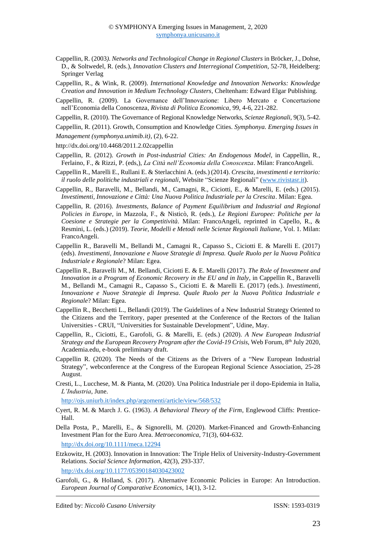- Cappellin, R. (2003*). Networks and Technological Change in Regional Clusters* in Bröcker, J., Dohse, D., & Soltwedel, R. (eds.), *Innovation Clusters and Interregional Competition*, 52-78, Heidelberg: Springer Verlag
- Cappellin, R., & Wink, R. (2009). *International Knowledge and Innovation Networks: Knowledge Creation and Innovation in Medium Technology Clusters*, Cheltenham: Edward Elgar Publishing.
- Cappellin, R. (2009). La Governance dell'Innovazione: Libero Mercato e Concertazione nell'Economia della Conoscenza, *Rivista di Politica Economica*, 99, 4-6, 221-282.
- Cappellin, R. (2010). The Governance of Regional Knowledge Networks, *Scienze Regionali*, 9(3), 5-42.
- Cappellin, R. (2011). Growth, Consumption and Knowledge Cities. *Symphonya. Emerging Issues in Management (symphonya.unimib.it)*, (2), 6-22.
- http://dx.doi.org/10.4468/2011.2.02cappellin
- Cappellin, R. (2012). *Growth in Post-industrial Cities: An Endogenous Model*, in Cappellin, R., Ferlaino, F., & Rizzi, P. (eds,), *La Città nell'Economia della Conoscenza*. Milan: FrancoAngeli.
- Cappellin R., Marelli E., Rullani E. & Sterlacchini A. (eds.) (2014). *Crescita, investimenti e territorio: il ruolo delle politiche industriali e regionali*, Website "Scienze Regionali" [\(www.rivistasr.it\)](http://www.rivistasr.it/).
- Cappellin, R., Baravelli, M., Bellandi, M., Camagni, R., Ciciotti, E., & Marelli, E. (eds.) (2015). *Investimenti, Innovazione e Città: Una Nuova Politica Industriale per la Crescita*. Milan: Egea.
- Cappellin, R. (2016). *Investments, Balance of Payment Equilibrium and Industrial and Regional Policies in Europe*, in Mazzola, F., & Nisticò, R. (eds.), *Le Regioni Europee: Politiche per la Coesione e Strategie per la Competitività*. Milan: FrancoAngeli, reprinted in Capello, R., & Resmini, L. (eds.) (2019). *Teorie, Modelli e Metodi nelle Scienze Regionali Italiane*, Vol. 1. Milan: FrancoAngeli.
- Cappellin R., Baravelli M., Bellandi M., Camagni R., Capasso S., Ciciotti E. & Marelli E. (2017) (eds). *Investimenti, Innovazione e Nuove Strategie di Impresa. Quale Ruolo per la Nuova Politica Industriale e Regionale*? Milan: Egea.
- Cappellin R., Baravelli M., M. Bellandi, Ciciotti E. & E. Marelli (2017). *The Role of Investment and Innovation in a Program of Economic Recovery in the EU and in Italy*, in Cappellin R., Baravelli M., Bellandi M., Camagni R., Capasso S., Ciciotti E. & Marelli E. (2017) (eds.). *Investimenti, Innovazione e Nuove Strategie di Impresa. Quale Ruolo per la Nuova Politica Industriale e Regionale*? Milan: Egea.
- Cappellin R., Becchetti L., Bellandi (2019). The Guidelines of a New Industrial Strategy Oriented to the Citizens and the Territory, paper presented at the Conference of the Rectors of the Italian Universities - CRUI, "Universities for Sustainable Development", Udine, May.
- Cappellin, R., Ciciotti, E., Garofoli, G. & Marelli, E. (eds.) (2020). *A New European Industrial Strategy and the European Recovery Program after the Covid-19 Crisis*, Web Forum, 8 th July 2020, Academia.edu, e-book preliminary draft.
- Cappellin R. (2020). The Needs of the Citizens as the Drivers of a "New European Industrial Strategy", webconference at the Congress of the European Regional Science Association, 25-28 August.
- Cresti, L., Lucchese, M. & Pianta, M. (2020). Una Politica Industriale per il dopo-Epidemia in Italia, *L'Industria*, June.

<http://ojs.uniurb.it/index.php/argomenti/article/view/568/532>

- Cyert, R. M. & March J. G. (1963). *A Behavioral Theory of the Firm*, Englewood Cliffs: Prentice-Hall.
- Della Posta, P., Marelli, E., & Signorelli, M. (2020). Market-Financed and Growth-Enhancing Investment Plan for the Euro Area. *Metroeconomica*, 71(3), 604-632. <http://dx.doi.org/10.1111/meca.12294>
- Etzkowitz, H. (2003). Innovation in Innovation: The Triple Helix of University-Industry-Government Relations. *Social Science Information*, 42(3), 293-337. <http://dx.doi.org/10.1177/05390184030423002>
- Garofoli, G., & Holland, S. (2017). Alternative Economic Policies in Europe: An Introduction. *European Journal of Comparative Economics*, 14(1), 3-12.